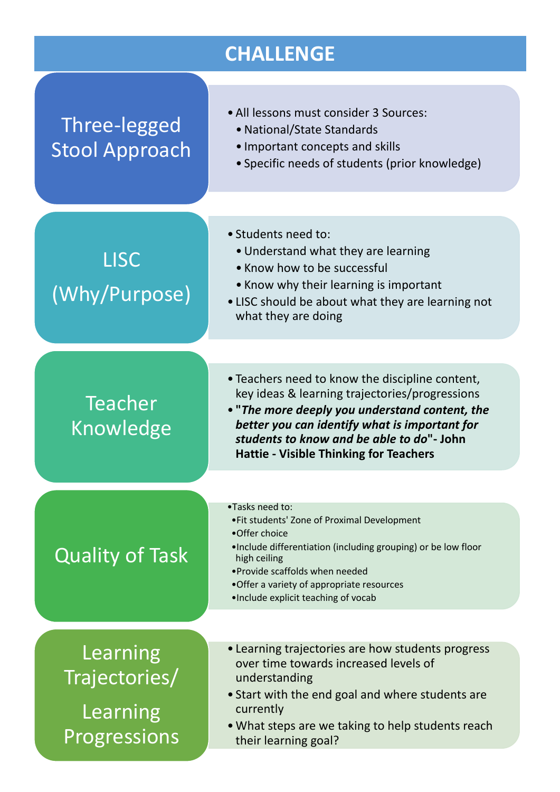## **CHALLENGE**

| Three-legged<br>Stool Approach                        | • All lessons must consider 3 Sources:<br>• National/State Standards<br>• Important concepts and skills<br>• Specific needs of students (prior knowledge)                                                                                                                                          |
|-------------------------------------------------------|----------------------------------------------------------------------------------------------------------------------------------------------------------------------------------------------------------------------------------------------------------------------------------------------------|
| <b>LISC</b><br>(Why/Purpose)                          | · Students need to:<br>• Understand what they are learning<br>• Know how to be successful<br>• Know why their learning is important<br>• LISC should be about what they are learning not<br>what they are doing                                                                                    |
| <b>Teacher</b><br>Knowledge                           | • Teachers need to know the discipline content,<br>key ideas & learning trajectories/progressions<br>• "The more deeply you understand content, the<br>better you can identify what is important for<br>students to know and be able to do"- John<br><b>Hattie - Visible Thinking for Teachers</b> |
| <b>Quality of Task</b>                                | •Tasks need to:<br>. Fit students' Zone of Proximal Development<br>•Offer choice<br>. Include differentiation (including grouping) or be low floor<br>high ceiling<br>• Provide scaffolds when needed<br>•Offer a variety of appropriate resources<br>.Include explicit teaching of vocab          |
| Learning<br>Trajectories/<br>Learning<br>Progressions | • Learning trajectories are how students progress<br>over time towards increased levels of<br>understanding<br>• Start with the end goal and where students are<br>currently<br>• What steps are we taking to help students reach<br>their learning goal?                                          |